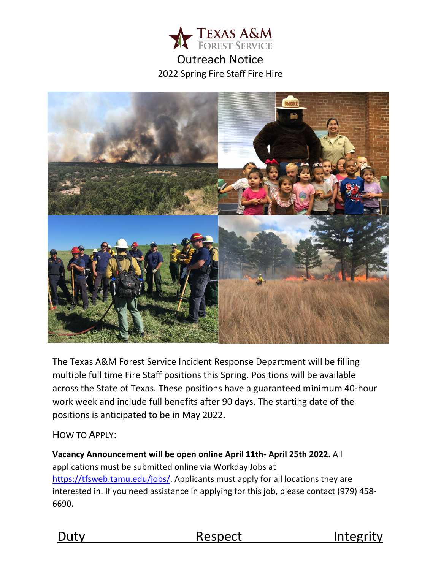

# Outreach Notice 2022 Spring Fire Staff Fire Hire



The Texas A&M Forest Service Incident Response Department will be filling multiple full time Fire Staff positions this Spring. Positions will be available across the State of Texas. These positions have a guaranteed minimum 40-hour work week and include full benefits after 90 days. The starting date of the positions is anticipated to be in May 2022.

## HOW TO APPLY:

**[Vacancy A](http://texasforestservice.tamu.edu/content/article.aspx?id=20086)nnouncement will be open online April 11th- April 25th 2022.** All applications must be submitted online via Workday Jobs at [https://tfsweb.tamu.edu/jobs/.](https://tfsweb.tamu.edu/jobs/) Applicants must apply for all locations they are interested in. If you need assistance in applying for this job, please contact (979) 458- 6690.



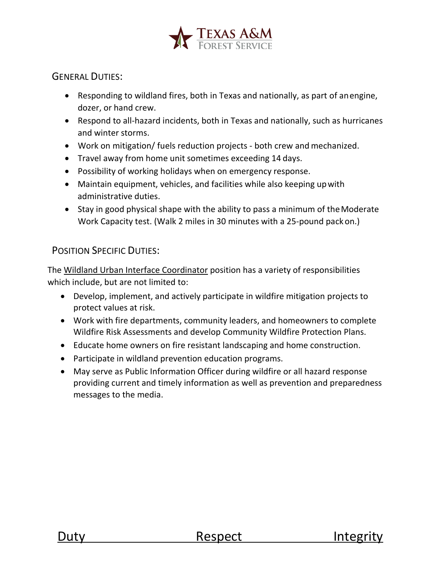

## GENERAL DUTIES:

- Responding to wildland fires, both in Texas and nationally, as part of anengine, dozer, or hand crew.
- Respond to all-hazard incidents, both in Texas and nationally, such as hurricanes and winter storms.
- Work on mitigation/ fuels reduction projects both crew and mechanized.
- Travel away from home unit sometimes exceeding 14 days.
- Possibility of working holidays when on emergency response.
- Maintain equipment, vehicles, and facilities while also keeping upwith administrative duties.
- Stay in good physical shape with the ability to pass a minimum of the Moderate Work Capacity test. (Walk 2 miles in 30 minutes with a 25-pound packon.)

## POSITION SPECIFIC DUTIES:

The Wildland Urban Interface Coordinator position has a variety of responsibilities which include, but are not limited to:

- Develop, implement, and actively participate in wildfire mitigation projects to protect values at risk.
- Work with fire departments, community leaders, and homeowners to complete Wildfire Risk Assessments and develop Community Wildfire Protection Plans.
- Educate home owners on fire resistant landscaping and home construction.
- Participate in wildland prevention education programs.
- May serve as Public Information Officer during wildfire or all hazard response providing current and timely information as well as prevention and preparedness messages to the media.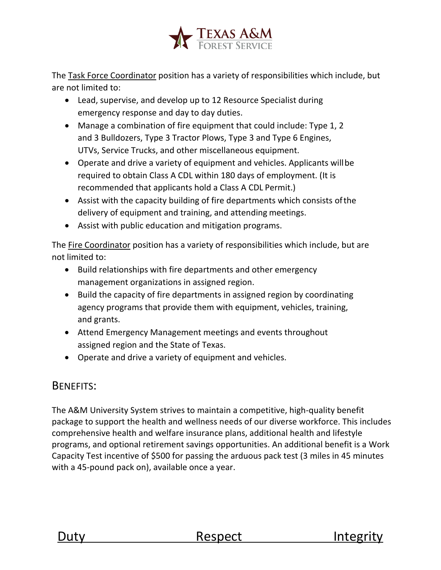

The Task Force Coordinator position has a variety of responsibilities which include, but are not limited to:

- Lead, supervise, and develop up to 12 Resource Specialist during emergency response and day to day duties.
- Manage a combination of fire equipment that could include: Type 1, 2 and 3 Bulldozers, Type 3 Tractor Plows, Type 3 and Type 6 Engines, UTVs, Service Trucks, and other miscellaneous equipment.
- Operate and drive a variety of equipment and vehicles. Applicants willbe required to obtain Class A CDL within 180 days of employment. (It is recommended that applicants hold a Class A CDL Permit.)
- Assist with the capacity building of fire departments which consists ofthe delivery of equipment and training, and attending meetings.
- Assist with public education and mitigation programs.

The Fire Coordinator position has a variety of responsibilities which include, but are not limited to:

- Build relationships with fire departments and other emergency management organizations in assigned region.
- Build the capacity of fire departments in assigned region by coordinating agency programs that provide them with equipment, vehicles, training, and grants.
- Attend Emergency Management meetings and events throughout assigned region and the State of Texas.
- Operate and drive a variety of equipment and vehicles.

# BENEFITS:

The A&M University System strives to maintain a competitive, high-quality benefit package to support the health and wellness needs of our diverse workforce. This includes comprehensive health and welfare insurance plans, additional health and lifestyle programs, and optional retirement savings opportunities. An additional benefit is a Work Capacity Test incentive of \$500 for passing the arduous pack test (3 miles in 45 minutes with a 45-pound pack on), available once a year.